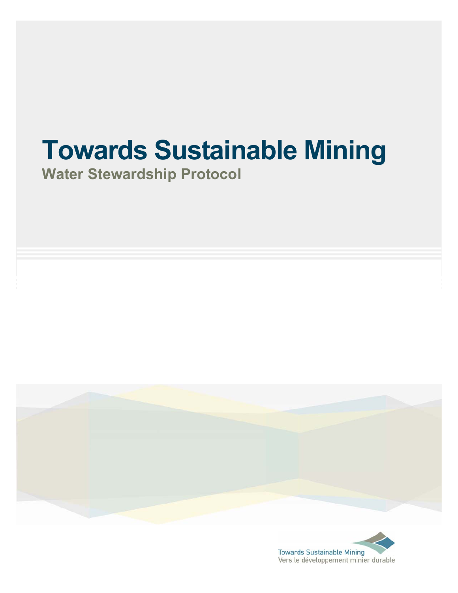# **Towards Sustainable Mining**

**Water Stewardship Protocol** 



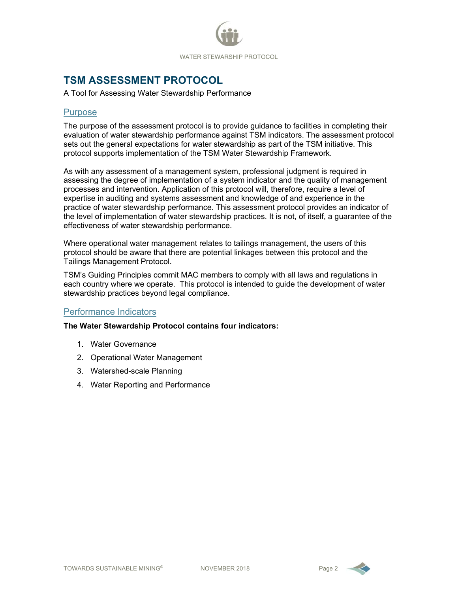# **TSM ASSESSMENT PROTOCOL**

#### A Tool for Assessing Water Stewardship Performance

## **Purpose**

The purpose of the assessment protocol is to provide guidance to facilities in completing their evaluation of water stewardship performance against TSM indicators. The assessment protocol sets out the general expectations for water stewardship as part of the TSM initiative. This protocol supports implementation of the TSM Water Stewardship Framework.

As with any assessment of a management system, professional judgment is required in assessing the degree of implementation of a system indicator and the quality of management processes and intervention. Application of this protocol will, therefore, require a level of expertise in auditing and systems assessment and knowledge of and experience in the practice of water stewardship performance. This assessment protocol provides an indicator of the level of implementation of water stewardship practices. It is not, of itself, a guarantee of the effectiveness of water stewardship performance.

Where operational water management relates to tailings management, the users of this protocol should be aware that there are potential linkages between this protocol and the Tailings Management Protocol.

TSM's Guiding Principles commit MAC members to comply with all laws and regulations in each country where we operate. This protocol is intended to guide the development of water stewardship practices beyond legal compliance.

## Performance Indicators

### **The Water Stewardship Protocol contains four indicators:**

- 1. Water Governance
- 2. Operational Water Management
- 3. Watershed-scale Planning
- 4. Water Reporting and Performance

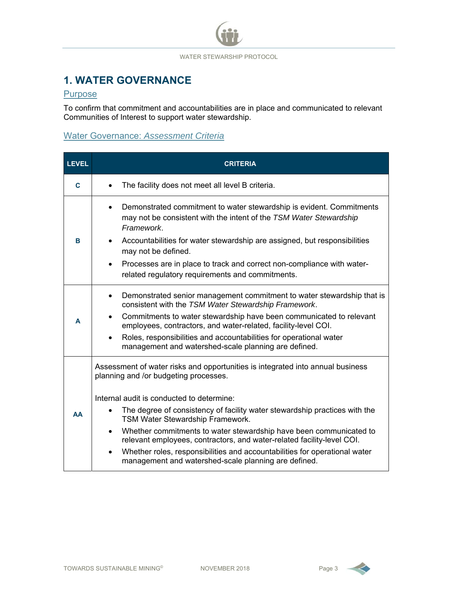# **1. WATER GOVERNANCE**

## **Purpose**

To confirm that commitment and accountabilities are in place and communicated to relevant Communities of Interest to support water stewardship.

## Water Governance: *Assessment Criteria*

| <b>LEVEL</b> | <b>CRITERIA</b>                                                                                                                                           |  |  |  |
|--------------|-----------------------------------------------------------------------------------------------------------------------------------------------------------|--|--|--|
| C            | The facility does not meet all level B criteria.                                                                                                          |  |  |  |
|              | Demonstrated commitment to water stewardship is evident. Commitments<br>may not be consistent with the intent of the TSM Water Stewardship<br>Framework.  |  |  |  |
| B            | Accountabilities for water stewardship are assigned, but responsibilities<br>$\bullet$<br>may not be defined.                                             |  |  |  |
|              | Processes are in place to track and correct non-compliance with water-<br>$\bullet$<br>related regulatory requirements and commitments.                   |  |  |  |
|              | Demonstrated senior management commitment to water stewardship that is<br>$\bullet$<br>consistent with the TSM Water Stewardship Framework.               |  |  |  |
| A            | Commitments to water stewardship have been communicated to relevant<br>$\bullet$<br>employees, contractors, and water-related, facility-level COI.        |  |  |  |
|              | Roles, responsibilities and accountabilities for operational water<br>$\bullet$<br>management and watershed-scale planning are defined.                   |  |  |  |
|              | Assessment of water risks and opportunities is integrated into annual business<br>planning and /or budgeting processes.                                   |  |  |  |
|              | Internal audit is conducted to determine:                                                                                                                 |  |  |  |
| AA           | The degree of consistency of facility water stewardship practices with the<br>TSM Water Stewardship Framework.                                            |  |  |  |
|              | Whether commitments to water stewardship have been communicated to<br>$\bullet$<br>relevant employees, contractors, and water-related facility-level COI. |  |  |  |
|              | Whether roles, responsibilities and accountabilities for operational water<br>$\bullet$<br>management and watershed-scale planning are defined.           |  |  |  |

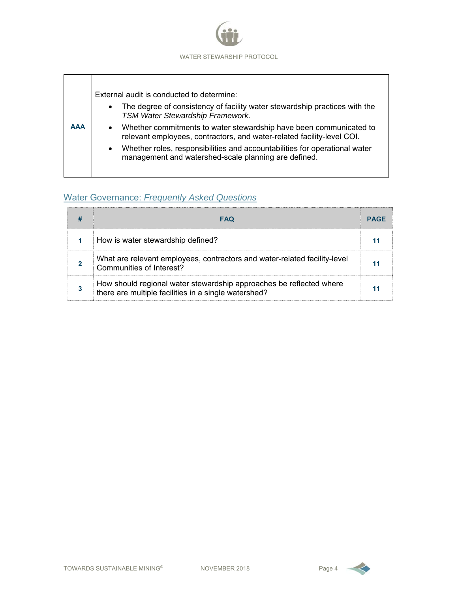

| <b>AAA</b> | External audit is conducted to determine:<br>The degree of consistency of facility water stewardship practices with the<br>$\bullet$<br>TSM Water Stewardship Framework.<br>Whether commitments to water stewardship have been communicated to<br>relevant employees, contractors, and water-related facility-level COI.<br>Whether roles, responsibilities and accountabilities for operational water<br>$\bullet$<br>management and watershed-scale planning are defined. |
|------------|-----------------------------------------------------------------------------------------------------------------------------------------------------------------------------------------------------------------------------------------------------------------------------------------------------------------------------------------------------------------------------------------------------------------------------------------------------------------------------|
|------------|-----------------------------------------------------------------------------------------------------------------------------------------------------------------------------------------------------------------------------------------------------------------------------------------------------------------------------------------------------------------------------------------------------------------------------------------------------------------------------|

## Water Governance: *Frequently Asked Questions*

| <b>FAQ</b>                                                                                                                  |  |  |
|-----------------------------------------------------------------------------------------------------------------------------|--|--|
| How is water stewardship defined?                                                                                           |  |  |
| What are relevant employees, contractors and water-related facility-level<br>Communities of Interest?                       |  |  |
| How should regional water stewardship approaches be reflected where<br>there are multiple facilities in a single watershed? |  |  |

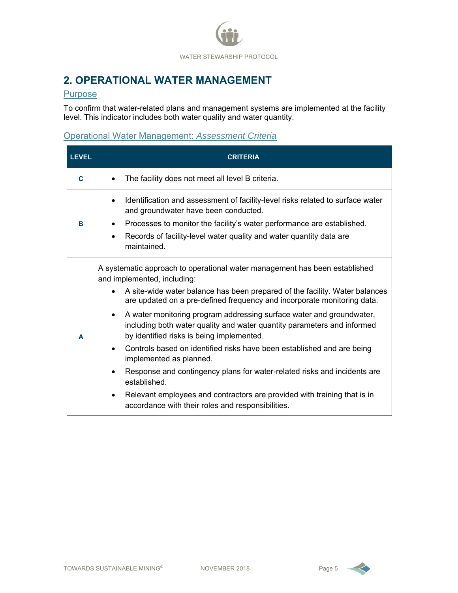## **2. OPERATIONAL WATER MANAGEMENT**

#### **Purpose**

To confirm that water-related plans and management systems are implemented at the facility level. This indicator includes both water quality and water quantity.

## Operational Water Management: *Assessment Criteria*

| <b>LEVEL</b> | <b>CRITERIA</b>                                                                                                                                                                                                                                                                                                                                                                                                                                                                                                                                                                                                                                                                                                                                                                                                                                                        |  |  |  |
|--------------|------------------------------------------------------------------------------------------------------------------------------------------------------------------------------------------------------------------------------------------------------------------------------------------------------------------------------------------------------------------------------------------------------------------------------------------------------------------------------------------------------------------------------------------------------------------------------------------------------------------------------------------------------------------------------------------------------------------------------------------------------------------------------------------------------------------------------------------------------------------------|--|--|--|
| C            | The facility does not meet all level B criteria.<br>$\bullet$                                                                                                                                                                                                                                                                                                                                                                                                                                                                                                                                                                                                                                                                                                                                                                                                          |  |  |  |
| B            | Identification and assessment of facility-level risks related to surface water<br>$\bullet$<br>and groundwater have been conducted.<br>Processes to monitor the facility's water performance are established.<br>$\bullet$<br>Records of facility-level water quality and water quantity data are<br>$\bullet$<br>maintained.                                                                                                                                                                                                                                                                                                                                                                                                                                                                                                                                          |  |  |  |
| A            | A systematic approach to operational water management has been established<br>and implemented, including:<br>A site-wide water balance has been prepared of the facility. Water balances<br>$\bullet$<br>are updated on a pre-defined frequency and incorporate monitoring data.<br>A water monitoring program addressing surface water and groundwater,<br>$\bullet$<br>including both water quality and water quantity parameters and informed<br>by identified risks is being implemented.<br>Controls based on identified risks have been established and are being<br>$\bullet$<br>implemented as planned.<br>Response and contingency plans for water-related risks and incidents are<br>$\bullet$<br>established.<br>Relevant employees and contractors are provided with training that is in<br>$\bullet$<br>accordance with their roles and responsibilities. |  |  |  |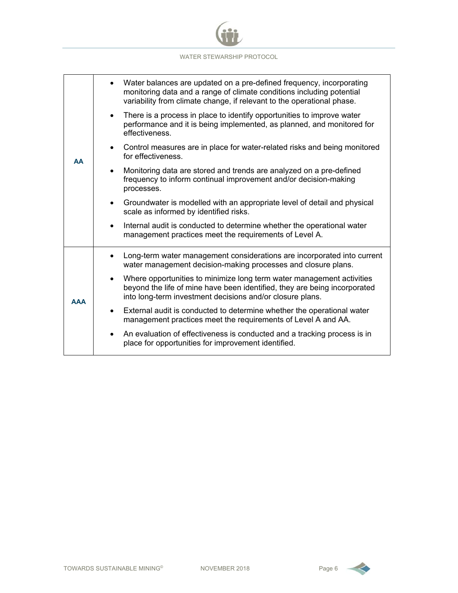

|            | Water balances are updated on a pre-defined frequency, incorporating<br>monitoring data and a range of climate conditions including potential<br>variability from climate change, if relevant to the operational phase. |
|------------|-------------------------------------------------------------------------------------------------------------------------------------------------------------------------------------------------------------------------|
|            | There is a process in place to identify opportunities to improve water<br>performance and it is being implemented, as planned, and monitored for<br>effectiveness.                                                      |
| AΑ         | Control measures are in place for water-related risks and being monitored<br>for effectiveness.                                                                                                                         |
|            | Monitoring data are stored and trends are analyzed on a pre-defined<br>frequency to inform continual improvement and/or decision-making<br>processes.                                                                   |
|            | Groundwater is modelled with an appropriate level of detail and physical<br>scale as informed by identified risks.                                                                                                      |
|            | Internal audit is conducted to determine whether the operational water<br>management practices meet the requirements of Level A.                                                                                        |
|            | Long-term water management considerations are incorporated into current<br>water management decision-making processes and closure plans.                                                                                |
| <b>AAA</b> | Where opportunities to minimize long term water management activities<br>beyond the life of mine have been identified, they are being incorporated<br>into long-term investment decisions and/or closure plans.         |
|            | External audit is conducted to determine whether the operational water<br>management practices meet the requirements of Level A and AA.                                                                                 |
|            | An evaluation of effectiveness is conducted and a tracking process is in<br>place for opportunities for improvement identified.                                                                                         |

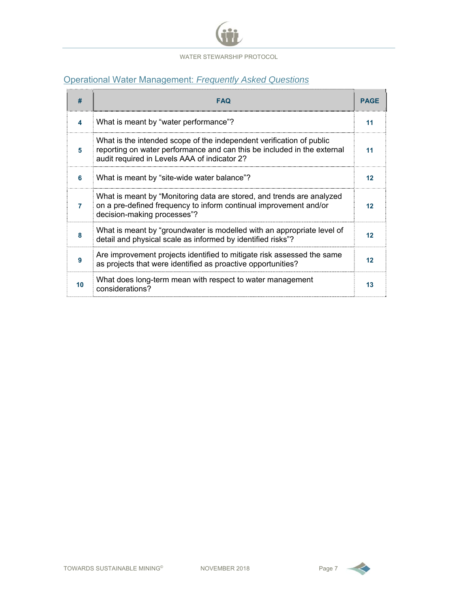

## Operational Water Management: *Frequently Asked Questions*

| #  | <b>FAQ</b>                                                                                                                                                                                      |    |  |  |
|----|-------------------------------------------------------------------------------------------------------------------------------------------------------------------------------------------------|----|--|--|
| 4  | What is meant by "water performance"?                                                                                                                                                           | 11 |  |  |
| 5  | What is the intended scope of the independent verification of public<br>reporting on water performance and can this be included in the external<br>audit required in Levels AAA of indicator 2? | 11 |  |  |
| 6  | What is meant by "site-wide water balance"?                                                                                                                                                     | 12 |  |  |
| 7  | What is meant by "Monitoring data are stored, and trends are analyzed<br>on a pre-defined frequency to inform continual improvement and/or<br>decision-making processes"?                       | 12 |  |  |
| 8  | What is meant by "groundwater is modelled with an appropriate level of<br>detail and physical scale as informed by identified risks"?                                                           | 12 |  |  |
| 9  | Are improvement projects identified to mitigate risk assessed the same<br>as projects that were identified as proactive opportunities?                                                          | 12 |  |  |
| 10 | What does long-term mean with respect to water management<br>considerations?                                                                                                                    | 13 |  |  |

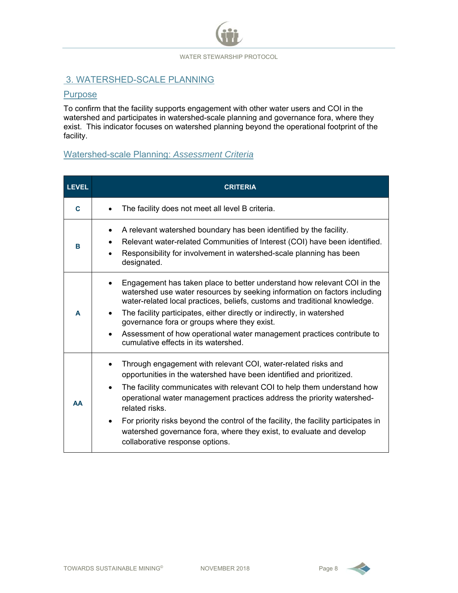## 3. WATERSHED-SCALE PLANNING

#### **Purpose**

To confirm that the facility supports engagement with other water users and COI in the watershed and participates in watershed-scale planning and governance fora, where they exist. This indicator focuses on watershed planning beyond the operational footprint of the facility.

## Watershed-scale Planning: *Assessment Criteria*

| <b>LEVEL</b> | <b>CRITERIA</b>                                                                                                                                                                                                                                                                                                                                                                                                                                                                                                                          |  |  |  |
|--------------|------------------------------------------------------------------------------------------------------------------------------------------------------------------------------------------------------------------------------------------------------------------------------------------------------------------------------------------------------------------------------------------------------------------------------------------------------------------------------------------------------------------------------------------|--|--|--|
| C            | The facility does not meet all level B criteria.                                                                                                                                                                                                                                                                                                                                                                                                                                                                                         |  |  |  |
| в            | A relevant watershed boundary has been identified by the facility.<br>Relevant water-related Communities of Interest (COI) have been identified.<br>Responsibility for involvement in watershed-scale planning has been<br>designated.                                                                                                                                                                                                                                                                                                   |  |  |  |
| A            | Engagement has taken place to better understand how relevant COI in the<br>watershed use water resources by seeking information on factors including<br>water-related local practices, beliefs, customs and traditional knowledge.<br>The facility participates, either directly or indirectly, in watershed<br>governance fora or groups where they exist.<br>Assessment of how operational water management practices contribute to<br>$\bullet$<br>cumulative effects in its watershed.                                               |  |  |  |
| <b>AA</b>    | Through engagement with relevant COI, water-related risks and<br>opportunities in the watershed have been identified and prioritized.<br>The facility communicates with relevant COI to help them understand how<br>$\bullet$<br>operational water management practices address the priority watershed-<br>related risks.<br>For priority risks beyond the control of the facility, the facility participates in<br>$\bullet$<br>watershed governance fora, where they exist, to evaluate and develop<br>collaborative response options. |  |  |  |

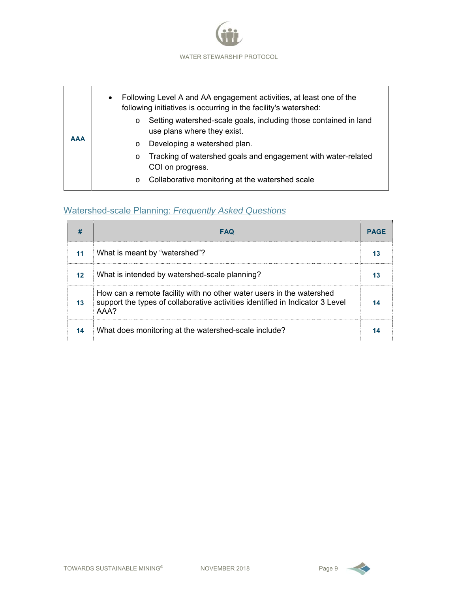

|            | Following Level A and AA engagement activities, at least one of the<br>$\bullet$<br>following initiatives is occurring in the facility's watershed: |
|------------|-----------------------------------------------------------------------------------------------------------------------------------------------------|
| <b>AAA</b> | Setting watershed-scale goals, including those contained in land<br>$\circ$<br>use plans where they exist.                                          |
|            | Developing a watershed plan.<br>$\circ$                                                                                                             |
|            | Tracking of watershed goals and engagement with water-related<br>$\circ$<br>COI on progress.                                                        |
|            | Collaborative monitoring at the watershed scale<br>$\circ$                                                                                          |

## Watershed-scale Planning: *Frequently Asked Questions*

|                 | <b>FAQ</b>                                                                                                                                                    | <b>PAGF</b> |
|-----------------|---------------------------------------------------------------------------------------------------------------------------------------------------------------|-------------|
| 11              | What is meant by "watershed"?                                                                                                                                 |             |
| 12 <sub>2</sub> | What is intended by watershed-scale planning?                                                                                                                 |             |
| 13              | How can a remote facility with no other water users in the watershed<br>support the types of collaborative activities identified in Indicator 3 Level<br>AAA? |             |
| 14              | What does monitoring at the watershed-scale include?                                                                                                          |             |

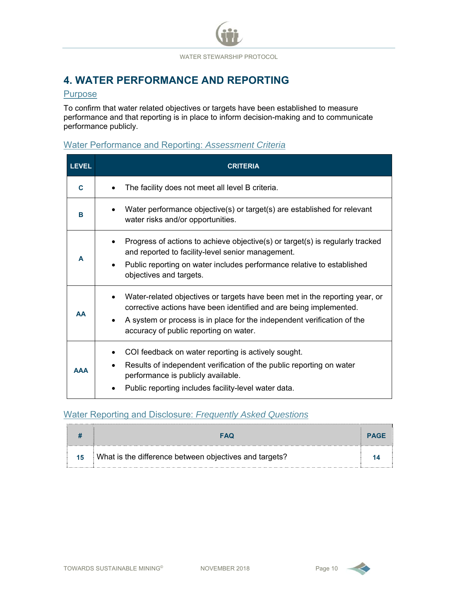# **4. WATER PERFORMANCE AND REPORTING**

## Purpose

To confirm that water related objectives or targets have been established to measure performance and that reporting is in place to inform decision-making and to communicate performance publicly.

## Water Performance and Reporting: *Assessment Criteria*

| <b>LEVEL</b> | <b>CRITERIA</b>                                                                                                                                                                                                                                                        |  |  |  |
|--------------|------------------------------------------------------------------------------------------------------------------------------------------------------------------------------------------------------------------------------------------------------------------------|--|--|--|
| C            | The facility does not meet all level B criteria.                                                                                                                                                                                                                       |  |  |  |
| в            | Water performance objective(s) or target(s) are established for relevant<br>water risks and/or opportunities.                                                                                                                                                          |  |  |  |
| A            | Progress of actions to achieve objective(s) or target(s) is regularly tracked<br>and reported to facility-level senior management.<br>Public reporting on water includes performance relative to established<br>objectives and targets.                                |  |  |  |
| <b>AA</b>    | Water-related objectives or targets have been met in the reporting year, or<br>corrective actions have been identified and are being implemented.<br>A system or process is in place for the independent verification of the<br>accuracy of public reporting on water. |  |  |  |
| <b>AAA</b>   | COI feedback on water reporting is actively sought.<br>Results of independent verification of the public reporting on water<br>٠<br>performance is publicly available.<br>Public reporting includes facility-level water data.                                         |  |  |  |

## Water Reporting and Disclosure: *Frequently Asked Questions*

|    | <b>FAQ</b>                                             | <b>PAGF</b> |
|----|--------------------------------------------------------|-------------|
| 15 | What is the difference between objectives and targets? |             |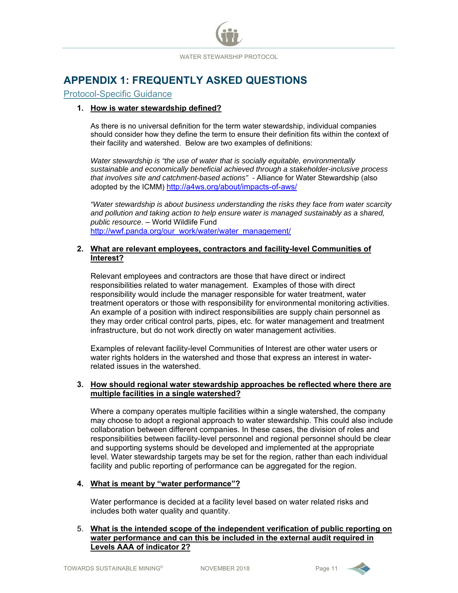

# **APPENDIX 1: FREQUENTLY ASKED QUESTIONS**

#### Protocol-Specific Guidance

#### **1. How is water stewardship defined?**

As there is no universal definition for the term water stewardship, individual companies should consider how they define the term to ensure their definition fits within the context of their facility and watershed. Below are two examples of definitions:

*Water stewardship is "the use of water that is socially equitable, environmentally sustainable and economically beneficial achieved through a stakeholder-inclusive process that involves site and catchment-based actions" -* Alliance for Water Stewardship (also adopted by the ICMM) http://a4ws.org/about/impacts-of-aws/

*"Water stewardship is about business understanding the risks they face from water scarcity and pollution and taking action to help ensure water is managed sustainably as a shared, public resource*. – World Wildlife Fund http://wwf.panda.org/our\_work/water/water\_management/

#### **2. What are relevant employees, contractors and facility-level Communities of Interest?**

Relevant employees and contractors are those that have direct or indirect responsibilities related to water management. Examples of those with direct responsibility would include the manager responsible for water treatment, water treatment operators or those with responsibility for environmental monitoring activities. An example of a position with indirect responsibilities are supply chain personnel as they may order critical control parts, pipes, etc. for water management and treatment infrastructure, but do not work directly on water management activities.

Examples of relevant facility-level Communities of Interest are other water users or water rights holders in the watershed and those that express an interest in waterrelated issues in the watershed.

#### **3. How should regional water stewardship approaches be reflected where there are multiple facilities in a single watershed?**

Where a company operates multiple facilities within a single watershed, the company may choose to adopt a regional approach to water stewardship. This could also include collaboration between different companies. In these cases, the division of roles and responsibilities between facility-level personnel and regional personnel should be clear and supporting systems should be developed and implemented at the appropriate level. Water stewardship targets may be set for the region, rather than each individual facility and public reporting of performance can be aggregated for the region.

#### **4. What is meant by "water performance"?**

Water performance is decided at a facility level based on water related risks and includes both water quality and quantity.

#### 5. **What is the intended scope of the independent verification of public reporting on water performance and can this be included in the external audit required in Levels AAA of indicator 2?**

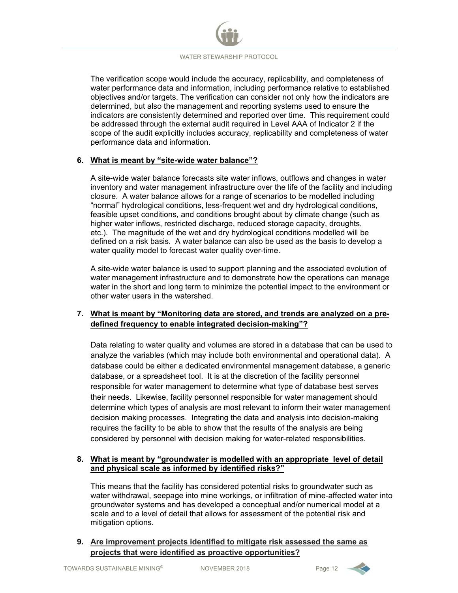The verification scope would include the accuracy, replicability, and completeness of water performance data and information, including performance relative to established objectives and/or targets. The verification can consider not only how the indicators are determined, but also the management and reporting systems used to ensure the indicators are consistently determined and reported over time. This requirement could be addressed through the external audit required in Level AAA of Indicator 2 if the scope of the audit explicitly includes accuracy, replicability and completeness of water performance data and information.

#### **6. What is meant by "site-wide water balance"?**

A site-wide water balance forecasts site water inflows, outflows and changes in water inventory and water management infrastructure over the life of the facility and including closure. A water balance allows for a range of scenarios to be modelled including "normal" hydrological conditions, less-frequent wet and dry hydrological conditions, feasible upset conditions, and conditions brought about by climate change (such as higher water inflows, restricted discharge, reduced storage capacity, droughts, etc.). The magnitude of the wet and dry hydrological conditions modelled will be defined on a risk basis. A water balance can also be used as the basis to develop a water quality model to forecast water quality over-time.

A site-wide water balance is used to support planning and the associated evolution of water management infrastructure and to demonstrate how the operations can manage water in the short and long term to minimize the potential impact to the environment or other water users in the watershed.

#### **7. What is meant by "Monitoring data are stored, and trends are analyzed on a predefined frequency to enable integrated decision-making"?**

Data relating to water quality and volumes are stored in a database that can be used to analyze the variables (which may include both environmental and operational data). A database could be either a dedicated environmental management database, a generic database, or a spreadsheet tool. It is at the discretion of the facility personnel responsible for water management to determine what type of database best serves their needs. Likewise, facility personnel responsible for water management should determine which types of analysis are most relevant to inform their water management decision making processes. Integrating the data and analysis into decision-making requires the facility to be able to show that the results of the analysis are being considered by personnel with decision making for water-related responsibilities.

#### **8. What is meant by "groundwater is modelled with an appropriate level of detail and physical scale as informed by identified risks?"**

This means that the facility has considered potential risks to groundwater such as water withdrawal, seepage into mine workings, or infiltration of mine-affected water into groundwater systems and has developed a conceptual and/or numerical model at a scale and to a level of detail that allows for assessment of the potential risk and mitigation options.

**9. Are improvement projects identified to mitigate risk assessed the same as projects that were identified as proactive opportunities?** 

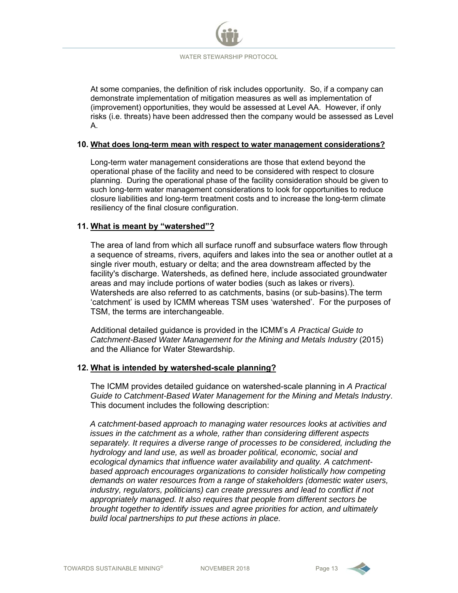

At some companies, the definition of risk includes opportunity. So, if a company can demonstrate implementation of mitigation measures as well as implementation of (improvement) opportunities, they would be assessed at Level AA. However, if only risks (i.e. threats) have been addressed then the company would be assessed as Level A.

#### **10. What does long-term mean with respect to water management considerations?**

Long-term water management considerations are those that extend beyond the operational phase of the facility and need to be considered with respect to closure planning. During the operational phase of the facility consideration should be given to such long-term water management considerations to look for opportunities to reduce closure liabilities and long-term treatment costs and to increase the long-term climate resiliency of the final closure configuration.

#### **11. What is meant by "watershed"?**

The area of land from which all surface runoff and subsurface waters flow through a sequence of streams, rivers, aquifers and lakes into the sea or another outlet at a single river mouth, estuary or delta; and the area downstream affected by the facility's discharge. Watersheds, as defined here, include associated groundwater areas and may include portions of water bodies (such as lakes or rivers). Watersheds are also referred to as catchments, basins (or sub-basins).The term 'catchment' is used by ICMM whereas TSM uses 'watershed'. For the purposes of TSM, the terms are interchangeable.

Additional detailed guidance is provided in the ICMM's *A Practical Guide to Catchment-Based Water Management for the Mining and Metals Industry* (2015) and the Alliance for Water Stewardship.

#### **12. What is intended by watershed-scale planning?**

The ICMM provides detailed guidance on watershed-scale planning in *A Practical Guide to Catchment-Based Water Management for the Mining and Metals Industry*. This document includes the following description:

*A catchment-based approach to managing water resources looks at activities and issues in the catchment as a whole, rather than considering different aspects separately. It requires a diverse range of processes to be considered, including the hydrology and land use, as well as broader political, economic, social and ecological dynamics that influence water availability and quality. A catchmentbased approach encourages organizations to consider holistically how competing demands on water resources from a range of stakeholders (domestic water users, industry, regulators, politicians) can create pressures and lead to conflict if not appropriately managed. It also requires that people from different sectors be brought together to identify issues and agree priorities for action, and ultimately build local partnerships to put these actions in place.*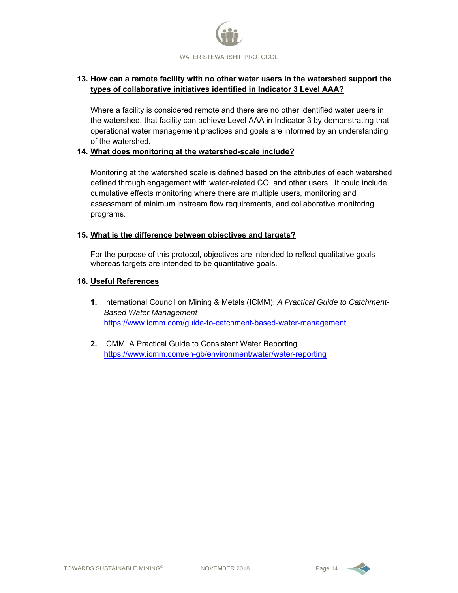

#### **13. How can a remote facility with no other water users in the watershed support the types of collaborative initiatives identified in Indicator 3 Level AAA?**

Where a facility is considered remote and there are no other identified water users in the watershed, that facility can achieve Level AAA in Indicator 3 by demonstrating that operational water management practices and goals are informed by an understanding of the watershed.

#### **14. What does monitoring at the watershed-scale include?**

Monitoring at the watershed scale is defined based on the attributes of each watershed defined through engagement with water-related COI and other users. It could include cumulative effects monitoring where there are multiple users, monitoring and assessment of minimum instream flow requirements, and collaborative monitoring programs.

#### **15. What is the difference between objectives and targets?**

For the purpose of this protocol, objectives are intended to reflect qualitative goals whereas targets are intended to be quantitative goals.

#### **16. Useful References**

- **1.** International Council on Mining & Metals (ICMM): *A Practical Guide to Catchment-Based Water Management* https://www.icmm.com/guide-to-catchment-based-water-management
- **2.** ICMM: A Practical Guide to Consistent Water Reporting https://www.icmm.com/en-gb/environment/water/water-reporting

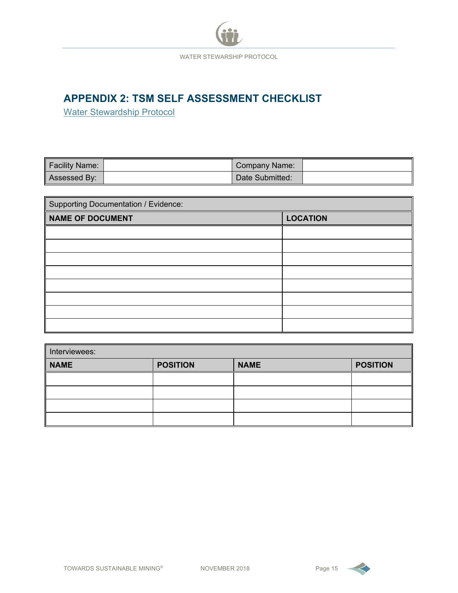

# **APPENDIX 2: TSM SELF ASSESSMENT CHECKLIST**

Water Stewardship Protocol

| Facility Name: | Company Name:   |  |
|----------------|-----------------|--|
| Assessed By:   | Date Submitted: |  |

| <b>Supporting Documentation / Evidence:</b> |                 |  |  |  |  |  |
|---------------------------------------------|-----------------|--|--|--|--|--|
| <b>NAME OF DOCUMENT</b>                     | <b>LOCATION</b> |  |  |  |  |  |
|                                             |                 |  |  |  |  |  |
|                                             |                 |  |  |  |  |  |
|                                             |                 |  |  |  |  |  |
|                                             |                 |  |  |  |  |  |
|                                             |                 |  |  |  |  |  |
|                                             |                 |  |  |  |  |  |
|                                             |                 |  |  |  |  |  |
|                                             |                 |  |  |  |  |  |

| Interviewees: |                 |             |                 |  |  |  |  |
|---------------|-----------------|-------------|-----------------|--|--|--|--|
| <b>NAME</b>   | <b>POSITION</b> | <b>NAME</b> | <b>POSITION</b> |  |  |  |  |
|               |                 |             |                 |  |  |  |  |
|               |                 |             |                 |  |  |  |  |
|               |                 |             |                 |  |  |  |  |
|               |                 |             |                 |  |  |  |  |

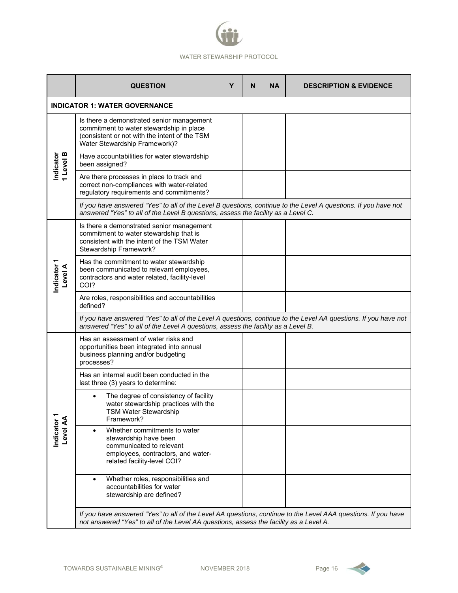

|                         | <b>QUESTION</b>                                                                                                                                                                                         | Υ | N | <b>NA</b> | <b>DESCRIPTION &amp; EVIDENCE</b> |
|-------------------------|---------------------------------------------------------------------------------------------------------------------------------------------------------------------------------------------------------|---|---|-----------|-----------------------------------|
|                         | <b>INDICATOR 1: WATER GOVERNANCE</b>                                                                                                                                                                    |   |   |           |                                   |
|                         | Is there a demonstrated senior management<br>commitment to water stewardship in place<br>(consistent or not with the intent of the TSM<br>Water Stewardship Framework)?                                 |   |   |           |                                   |
| 1 Level B<br>Indicator  | Have accountabilities for water stewardship<br>been assigned?                                                                                                                                           |   |   |           |                                   |
|                         | Are there processes in place to track and<br>correct non-compliances with water-related<br>regulatory requirements and commitments?                                                                     |   |   |           |                                   |
|                         | If you have answered "Yes" to all of the Level B questions, continue to the Level A questions. If you have not<br>answered "Yes" to all of the Level B questions, assess the facility as a Level C.     |   |   |           |                                   |
|                         | Is there a demonstrated senior management<br>commitment to water stewardship that is<br>consistent with the intent of the TSM Water<br>Stewardship Framework?                                           |   |   |           |                                   |
| Indicator 1<br>Level A  | Has the commitment to water stewardship<br>been communicated to relevant employees,<br>contractors and water related, facility-level<br>COI?                                                            |   |   |           |                                   |
|                         | Are roles, responsibilities and accountabilities<br>defined?                                                                                                                                            |   |   |           |                                   |
|                         | If you have answered "Yes" to all of the Level A questions, continue to the Level AA questions. If you have not<br>answered "Yes" to all of the Level A questions, assess the facility as a Level B.    |   |   |           |                                   |
|                         | Has an assessment of water risks and<br>opportunities been integrated into annual<br>business planning and/or budgeting<br>processes?                                                                   |   |   |           |                                   |
|                         | Has an internal audit been conducted in the<br>last three (3) years to determine:                                                                                                                       |   |   |           |                                   |
|                         | The degree of consistency of facility<br>water stewardship practices with the<br>TSM Water Stewardship<br>Framework?                                                                                    |   |   |           |                                   |
| Indicator 1<br>Level AA | Whether commitments to water<br>$\bullet$<br>stewardship have been<br>communicated to relevant<br>employees, contractors, and water-<br>related facility-level COI?                                     |   |   |           |                                   |
|                         | Whether roles, responsibilities and<br>$\bullet$<br>accountabilities for water<br>stewardship are defined?                                                                                              |   |   |           |                                   |
|                         | If you have answered "Yes" to all of the Level AA questions, continue to the Level AAA questions. If you have<br>not answered "Yes" to all of the Level AA questions, assess the facility as a Level A. |   |   |           |                                   |

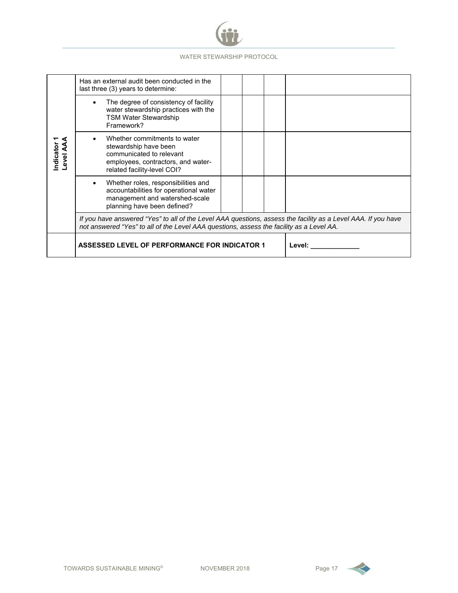

|                           | Has an external audit been conducted in the<br>last three (3) years to determine:                                                                                                                         |        |  |
|---------------------------|-----------------------------------------------------------------------------------------------------------------------------------------------------------------------------------------------------------|--------|--|
|                           | The degree of consistency of facility<br>water stewardship practices with the<br><b>TSM Water Stewardship</b><br>Framework?                                                                               |        |  |
| Indicator<br><b>Level</b> | Whether commitments to water<br>stewardship have been<br>communicated to relevant<br>employees, contractors, and water-<br>related facility-level COI?                                                    |        |  |
|                           | Whether roles, responsibilities and<br>accountabilities for operational water<br>management and watershed-scale<br>planning have been defined?                                                            |        |  |
|                           | If you have answered "Yes" to all of the Level AAA questions, assess the facility as a Level AAA. If you have<br>not answered "Yes" to all of the Level AAA questions, assess the facility as a Level AA. |        |  |
|                           | <b>ASSESSED LEVEL OF PERFORMANCE FOR INDICATOR 1</b>                                                                                                                                                      | Level: |  |

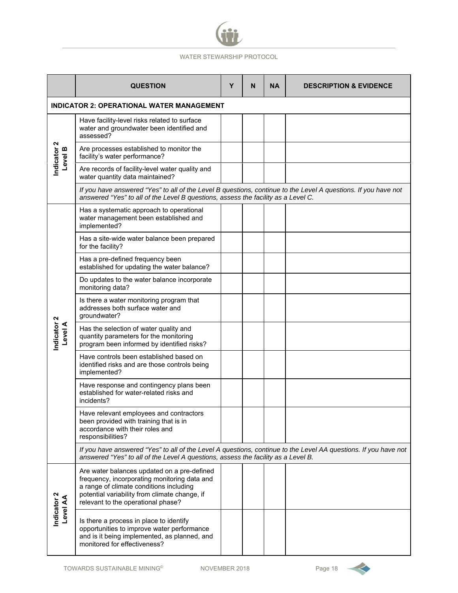

|                                                  | <b>QUESTION</b>                                                                                                                                                                                                               | Y | N | <b>NA</b> | <b>DESCRIPTION &amp; EVIDENCE</b> |  |  |
|--------------------------------------------------|-------------------------------------------------------------------------------------------------------------------------------------------------------------------------------------------------------------------------------|---|---|-----------|-----------------------------------|--|--|
| <b>INDICATOR 2: OPERATIONAL WATER MANAGEMENT</b> |                                                                                                                                                                                                                               |   |   |           |                                   |  |  |
|                                                  | Have facility-level risks related to surface<br>water and groundwater been identified and<br>assessed?                                                                                                                        |   |   |           |                                   |  |  |
| Indicator <sub>2</sub><br>Level B                | Are processes established to monitor the<br>facility's water performance?                                                                                                                                                     |   |   |           |                                   |  |  |
|                                                  | Are records of facility-level water quality and<br>water quantity data maintained?                                                                                                                                            |   |   |           |                                   |  |  |
|                                                  | If you have answered "Yes" to all of the Level B questions, continue to the Level A questions. If you have not<br>answered "Yes" to all of the Level B questions, assess the facility as a Level C.                           |   |   |           |                                   |  |  |
|                                                  | Has a systematic approach to operational<br>water management been established and<br>implemented?                                                                                                                             |   |   |           |                                   |  |  |
|                                                  | Has a site-wide water balance been prepared<br>for the facility?                                                                                                                                                              |   |   |           |                                   |  |  |
|                                                  | Has a pre-defined frequency been<br>established for updating the water balance?                                                                                                                                               |   |   |           |                                   |  |  |
|                                                  | Do updates to the water balance incorporate<br>monitoring data?                                                                                                                                                               |   |   |           |                                   |  |  |
|                                                  | Is there a water monitoring program that<br>addresses both surface water and<br>groundwater?                                                                                                                                  |   |   |           |                                   |  |  |
| ndicator 2<br>evel A                             | Has the selection of water quality and<br>quantity parameters for the monitoring<br>program been informed by identified risks?                                                                                                |   |   |           |                                   |  |  |
|                                                  | Have controls been established based on<br>identified risks and are those controls being<br>implemented?                                                                                                                      |   |   |           |                                   |  |  |
|                                                  | Have response and contingency plans been<br>established for water-related risks and<br>incidents?                                                                                                                             |   |   |           |                                   |  |  |
|                                                  | Have relevant employees and contractors<br>been provided with training that is in<br>accordance with their roles and<br>responsibilities?                                                                                     |   |   |           |                                   |  |  |
|                                                  | If you have answered "Yes" to all of the Level A questions, continue to the Level AA questions. If you have not<br>answered "Yes" to all of the Level A questions, assess the facility as a Level B.                          |   |   |           |                                   |  |  |
| Indicator <sub>2</sub><br>Level AA               | Are water balances updated on a pre-defined<br>frequency, incorporating monitoring data and<br>a range of climate conditions including<br>potential variability from climate change, if<br>relevant to the operational phase? |   |   |           |                                   |  |  |
|                                                  | Is there a process in place to identify<br>opportunities to improve water performance<br>and is it being implemented, as planned, and<br>monitored for effectiveness?                                                         |   |   |           |                                   |  |  |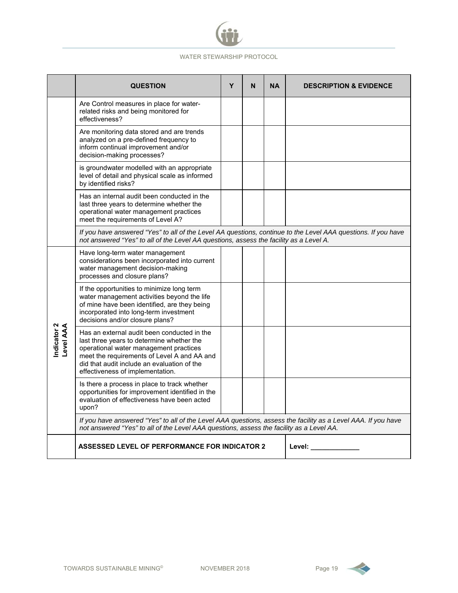

|                          | <b>QUESTION</b>                                                                                                                                                                                                                                                      | Y | N | <b>NA</b> | <b>DESCRIPTION &amp; EVIDENCE</b> |
|--------------------------|----------------------------------------------------------------------------------------------------------------------------------------------------------------------------------------------------------------------------------------------------------------------|---|---|-----------|-----------------------------------|
|                          | Are Control measures in place for water-<br>related risks and being monitored for<br>effectiveness?                                                                                                                                                                  |   |   |           |                                   |
|                          | Are monitoring data stored and are trends<br>analyzed on a pre-defined frequency to<br>inform continual improvement and/or<br>decision-making processes?                                                                                                             |   |   |           |                                   |
|                          | is groundwater modelled with an appropriate<br>level of detail and physical scale as informed<br>by identified risks?                                                                                                                                                |   |   |           |                                   |
|                          | Has an internal audit been conducted in the<br>last three years to determine whether the<br>operational water management practices<br>meet the requirements of Level A?                                                                                              |   |   |           |                                   |
|                          | If you have answered "Yes" to all of the Level AA questions, continue to the Level AAA questions. If you have<br>not answered "Yes" to all of the Level AA questions, assess the facility as a Level A.                                                              |   |   |           |                                   |
|                          | Have long-term water management<br>considerations been incorporated into current<br>water management decision-making<br>processes and closure plans?                                                                                                                 |   |   |           |                                   |
|                          | If the opportunities to minimize long term<br>water management activities beyond the life<br>of mine have been identified, are they being<br>incorporated into long-term investment<br>decisions and/or closure plans?                                               |   |   |           |                                   |
| Indicator 2<br>Level AAA | Has an external audit been conducted in the<br>last three years to determine whether the<br>operational water management practices<br>meet the requirements of Level A and AA and<br>did that audit include an evaluation of the<br>effectiveness of implementation. |   |   |           |                                   |
|                          | Is there a process in place to track whether<br>opportunities for improvement identified in the<br>evaluation of effectiveness have been acted<br>upon?                                                                                                              |   |   |           |                                   |
|                          | If you have answered "Yes" to all of the Level AAA questions, assess the facility as a Level AAA. If you have<br>not answered "Yes" to all of the Level AAA questions, assess the facility as a Level AA.                                                            |   |   |           |                                   |
|                          | <b>ASSESSED LEVEL OF PERFORMANCE FOR INDICATOR 2</b>                                                                                                                                                                                                                 |   |   |           | Level:                            |

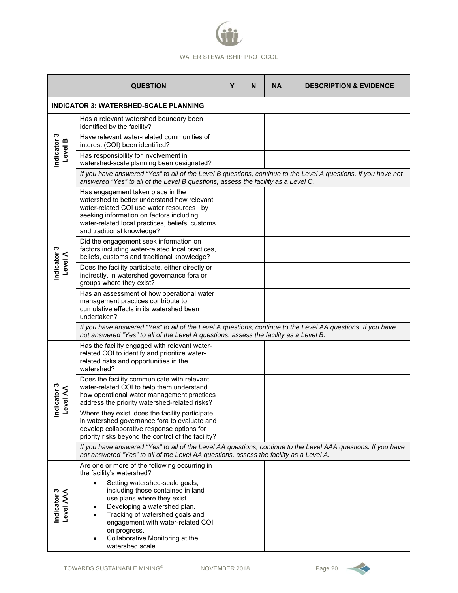|                                                                                                                                                                                                         | <b>QUESTION</b>                                                                                                                                                                                                                                           | Y | N | <b>NA</b> | <b>DESCRIPTION &amp; EVIDENCE</b> |  |  |
|---------------------------------------------------------------------------------------------------------------------------------------------------------------------------------------------------------|-----------------------------------------------------------------------------------------------------------------------------------------------------------------------------------------------------------------------------------------------------------|---|---|-----------|-----------------------------------|--|--|
| <b>INDICATOR 3: WATERSHED-SCALE PLANNING</b>                                                                                                                                                            |                                                                                                                                                                                                                                                           |   |   |           |                                   |  |  |
| Indicator 3<br>Level B                                                                                                                                                                                  | Has a relevant watershed boundary been<br>identified by the facility?                                                                                                                                                                                     |   |   |           |                                   |  |  |
|                                                                                                                                                                                                         | Have relevant water-related communities of<br>interest (COI) been identified?                                                                                                                                                                             |   |   |           |                                   |  |  |
|                                                                                                                                                                                                         | Has responsibility for involvement in<br>watershed-scale planning been designated?                                                                                                                                                                        |   |   |           |                                   |  |  |
|                                                                                                                                                                                                         | If you have answered "Yes" to all of the Level B questions, continue to the Level A questions. If you have not<br>answered "Yes" to all of the Level B questions, assess the facility as a Level C.                                                       |   |   |           |                                   |  |  |
|                                                                                                                                                                                                         | Has engagement taken place in the<br>watershed to better understand how relevant<br>water-related COI use water resources by<br>seeking information on factors including<br>water-related local practices, beliefs, customs<br>and traditional knowledge? |   |   |           |                                   |  |  |
|                                                                                                                                                                                                         | Did the engagement seek information on<br>factors including water-related local practices,<br>beliefs, customs and traditional knowledge?                                                                                                                 |   |   |           |                                   |  |  |
| Indicator 3<br>Level A                                                                                                                                                                                  | Does the facility participate, either directly or<br>indirectly, in watershed governance fora or<br>groups where they exist?                                                                                                                              |   |   |           |                                   |  |  |
|                                                                                                                                                                                                         | Has an assessment of how operational water<br>management practices contribute to<br>cumulative effects in its watershed been<br>undertaken?                                                                                                               |   |   |           |                                   |  |  |
|                                                                                                                                                                                                         | If you have answered "Yes" to all of the Level A questions, continue to the Level AA questions. If you have<br>not answered "Yes" to all of the Level A questions, assess the facility as a Level B.                                                      |   |   |           |                                   |  |  |
|                                                                                                                                                                                                         | Has the facility engaged with relevant water-<br>related COI to identify and prioritize water-<br>related risks and opportunities in the<br>watershed?                                                                                                    |   |   |           |                                   |  |  |
| icator 3<br>vel AA                                                                                                                                                                                      | Does the facility communicate with relevant<br>water-related COI to help them understand<br>how operational water management practices<br>address the priority watershed-related risks?                                                                   |   |   |           |                                   |  |  |
| قع<br>ا                                                                                                                                                                                                 | Where they exist, does the facility participate<br>in watershed governance fora to evaluate and<br>develop collaborative response options for<br>priority risks beyond the control of the facility?                                                       |   |   |           |                                   |  |  |
| If you have answered "Yes" to all of the Level AA questions, continue to the Level AAA questions. If you have<br>not answered "Yes" to all of the Level AA questions, assess the facility as a Level A. |                                                                                                                                                                                                                                                           |   |   |           |                                   |  |  |
|                                                                                                                                                                                                         | Are one or more of the following occurring in<br>the facility's watershed?                                                                                                                                                                                |   |   |           |                                   |  |  |
|                                                                                                                                                                                                         | Setting watershed-scale goals,<br>including those contained in land                                                                                                                                                                                       |   |   |           |                                   |  |  |
|                                                                                                                                                                                                         | use plans where they exist.<br>Developing a watershed plan.                                                                                                                                                                                               |   |   |           |                                   |  |  |
| Indicator 3<br>Level AAA                                                                                                                                                                                | Tracking of watershed goals and<br>engagement with water-related COI                                                                                                                                                                                      |   |   |           |                                   |  |  |
|                                                                                                                                                                                                         | on progress.<br>Collaborative Monitoring at the<br>watershed scale                                                                                                                                                                                        |   |   |           |                                   |  |  |

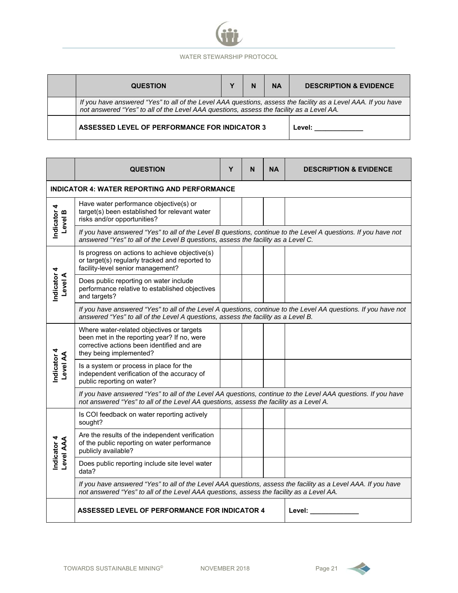| <b>QUESTION</b>                                                                                                                                                                                           |  | N | <b>NA</b> | <b>DESCRIPTION &amp; EVIDENCE</b> |  |
|-----------------------------------------------------------------------------------------------------------------------------------------------------------------------------------------------------------|--|---|-----------|-----------------------------------|--|
| If you have answered "Yes" to all of the Level AAA questions, assess the facility as a Level AAA. If you have<br>not answered "Yes" to all of the Level AAA questions, assess the facility as a Level AA. |  |   |           |                                   |  |
| ASSESSED LEVEL OF PERFORMANCE FOR INDICATOR 3                                                                                                                                                             |  |   |           | Level:                            |  |

|                                  | <b>QUESTION</b>                                                                                                                                                                                           | Υ | N | NA | <b>DESCRIPTION &amp; EVIDENCE</b> |  |  |  |
|----------------------------------|-----------------------------------------------------------------------------------------------------------------------------------------------------------------------------------------------------------|---|---|----|-----------------------------------|--|--|--|
|                                  | <b>INDICATOR 4: WATER REPORTING AND PERFORMANCE</b>                                                                                                                                                       |   |   |    |                                   |  |  |  |
| Indicator 4<br>m<br><b>Level</b> | Have water performance objective(s) or<br>target(s) been established for relevant water<br>risks and/or opportunities?                                                                                    |   |   |    |                                   |  |  |  |
|                                  | If you have answered "Yes" to all of the Level B questions, continue to the Level A questions. If you have not<br>answered "Yes" to all of the Level B questions, assess the facility as a Level C.       |   |   |    |                                   |  |  |  |
|                                  | Is progress on actions to achieve objective(s)<br>or target(s) regularly tracked and reported to<br>facility-level senior management?                                                                     |   |   |    |                                   |  |  |  |
| Indicator 4<br>Level A           | Does public reporting on water include<br>performance relative to established objectives<br>and targets?                                                                                                  |   |   |    |                                   |  |  |  |
|                                  | If you have answered "Yes" to all of the Level A questions, continue to the Level AA questions. If you have not<br>answered "Yes" to all of the Level A questions, assess the facility as a Level B.      |   |   |    |                                   |  |  |  |
|                                  | Where water-related objectives or targets<br>been met in the reporting year? If no, were<br>corrective actions been identified and are<br>they being implemented?                                         |   |   |    |                                   |  |  |  |
| Indicator 4<br><b>Level AA</b>   | Is a system or process in place for the<br>independent verification of the accuracy of<br>public reporting on water?                                                                                      |   |   |    |                                   |  |  |  |
|                                  | If you have answered "Yes" to all of the Level AA questions, continue to the Level AAA questions. If you have<br>not answered "Yes" to all of the Level AA questions, assess the facility as a Level A.   |   |   |    |                                   |  |  |  |
|                                  | Is COI feedback on water reporting actively<br>sought?                                                                                                                                                    |   |   |    |                                   |  |  |  |
| Indicator 4<br>Level AAA         | Are the results of the independent verification<br>of the public reporting on water performance<br>publicly available?                                                                                    |   |   |    |                                   |  |  |  |
|                                  | Does public reporting include site level water<br>data?                                                                                                                                                   |   |   |    |                                   |  |  |  |
|                                  | If you have answered "Yes" to all of the Level AAA questions, assess the facility as a Level AAA. If you have<br>not answered "Yes" to all of the Level AAA questions, assess the facility as a Level AA. |   |   |    |                                   |  |  |  |
|                                  | ASSESSED LEVEL OF PERFORMANCE FOR INDICATOR 4                                                                                                                                                             |   |   |    | Level:                            |  |  |  |